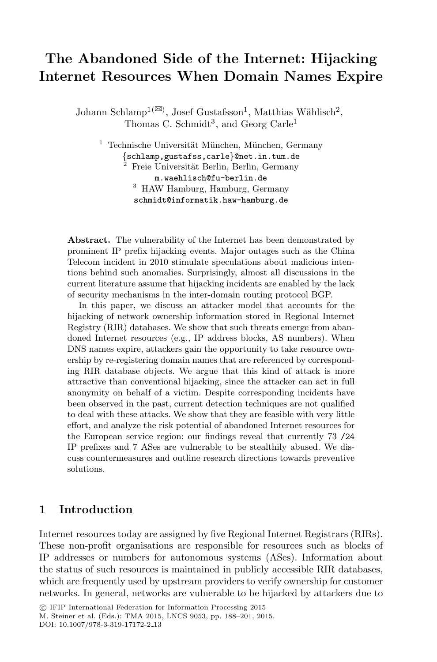# **The Abandoned Side of the Internet: Hijacking Internet Resources When Domain Names Expire**

Johann Schlamp<sup>1( $\boxtimes$ )</sup>, Josef Gustafsson<sup>1</sup>, Matthias Wählisch<sup>2</sup>, Thomas C. Schmidt<sup>3</sup>, and Georg Carle<sup>1</sup>

<sup>1</sup> Technische Universität München, München, Germany<br>{schlamp,gustafss,carle}@net.in.tum.de Freie Universität Berlin, Berlin, Germany m.waehlisch@fu-berlin.de <sup>3</sup> HAW Hamburg, Hamburg, Germany schmidt@informatik.haw-hamburg.de

**Abstract.** The vulnerability of the Internet has been demonstrated by prominent IP prefix hijacking events. Major outages such as the China Telecom incident in 2010 stimulate speculations about malicious intentions behind such anomalies. Surprisingly, almost all discussions in the current literature assume that hijacking incidents are enabled by the lack of security mechanisms in the inter-domain routing protocol BGP.

In this paper, we discuss an attacker model that accounts for the hijacking of network ownership information stored in Regional Internet Registry (RIR) databases. We show that such threats emerge from abandoned Internet resources (e.g., IP address blocks, AS numbers). When DNS names expire, attackers gain the opportunity to take resource ownership by re-registering domain names that are referenced by corresponding RIR database objects. We argue that this kind of attack is more attractive than conventional hijacking, since the attacker can act in full anonymity on behalf of a victim. Despite corresponding incidents have been observed in the past, current detection techniques are not qualified to deal with these attacks. We show that they are feasible with very little effort, and analyze the risk potential of abandoned Internet resources for the European service region: our findings reveal that currently 73 /24 IP prefixes and 7 ASes are vulnerable to be stealthily abused. We discuss countermeasures and outline research directions towards preventive solutions.

### **1 Introduction**

Internet resources today are assigned by five Regional Internet Registrars (RIRs). These non-profit organisations are responsible for resources such as blocks of IP addresses or numbers for autonomous systems (ASes). Information about the status of such resources is maintained in publicly accessible RIR databases, which are frequently used by upstream providers to verify ownership for customer networks. In general, networks are vulnerable to be hijacked by attackers due to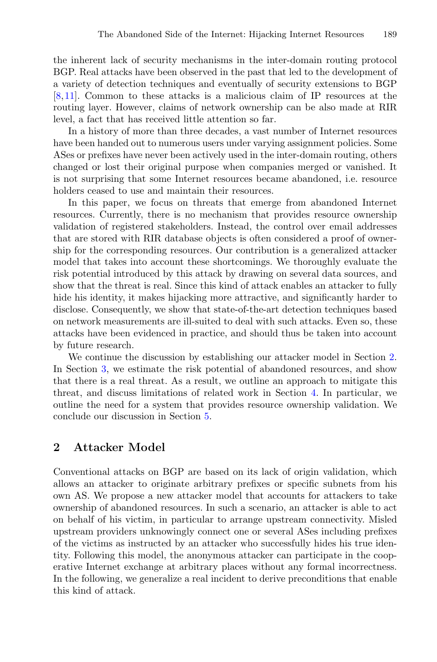the inherent lack of security mechanisms in the inter-domain routing protocol BGP. Real attacks have been observed in the past that led to the development of a variety of detection techniques and eventually of security extensions to BGP [\[8](#page-12-0)[,11](#page-12-1)]. Common to these attacks is a malicious claim of IP resources at the routing layer. However, claims of network ownership can be also made at RIR level, a fact that has received little attention so far.

In a history of more than three decades, a vast number of Internet resources have been handed out to numerous users under varying assignment policies. Some ASes or prefixes have never been actively used in the inter-domain routing, others changed or lost their original purpose when companies merged or vanished. It is not surprising that some Internet resources became abandoned, i.e. resource holders ceased to use and maintain their resources.

In this paper, we focus on threats that emerge from abandoned Internet resources. Currently, there is no mechanism that provides resource ownership validation of registered stakeholders. Instead, the control over email addresses that are stored with RIR database objects is often considered a proof of ownership for the corresponding resources. Our contribution is a generalized attacker model that takes into account these shortcomings. We thoroughly evaluate the risk potential introduced by this attack by drawing on several data sources, and show that the threat is real. Since this kind of attack enables an attacker to fully hide his identity, it makes hijacking more attractive, and significantly harder to disclose. Consequently, we show that state-of-the-art detection techniques based on network measurements are ill-suited to deal with such attacks. Even so, these attacks have been evidenced in practice, and should thus be taken into account by future research.

We continue the discussion by establishing our attacker model in Section [2.](#page-1-0) In Section [3,](#page-3-0) we estimate the risk potential of abandoned resources, and show that there is a real threat. As a result, we outline an approach to mitigate this threat, and discuss limitations of related work in Section [4.](#page-9-0) In particular, we outline the need for a system that provides resource ownership validation. We conclude our discussion in Section [5.](#page-11-0)

### <span id="page-1-0"></span>**2 Attacker Model**

Conventional attacks on BGP are based on its lack of origin validation, which allows an attacker to originate arbitrary prefixes or specific subnets from his own AS. We propose a new attacker model that accounts for attackers to take ownership of abandoned resources. In such a scenario, an attacker is able to act on behalf of his victim, in particular to arrange upstream connectivity. Misled upstream providers unknowingly connect one or several ASes including prefixes of the victims as instructed by an attacker who successfully hides his true identity. Following this model, the anonymous attacker can participate in the cooperative Internet exchange at arbitrary places without any formal incorrectness. In the following, we generalize a real incident to derive preconditions that enable this kind of attack.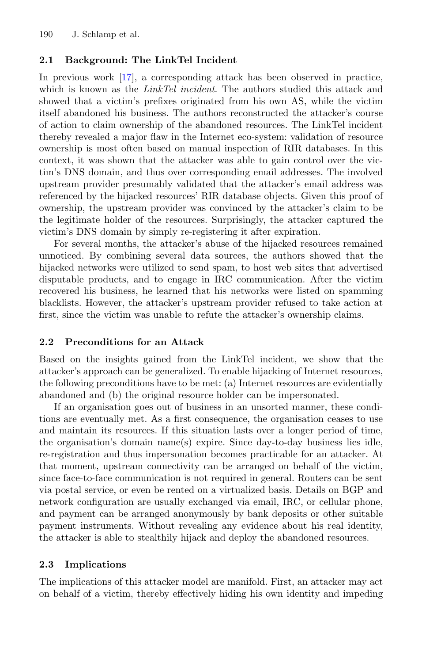### **2.1 Background: The LinkTel Incident**

In previous work [\[17](#page-12-2)], a corresponding attack has been observed in practice, which is known as the *LinkTel incident*. The authors studied this attack and showed that a victim's prefixes originated from his own AS, while the victim itself abandoned his business. The authors reconstructed the attacker's course of action to claim ownership of the abandoned resources. The LinkTel incident thereby revealed a major flaw in the Internet eco-system: validation of resource ownership is most often based on manual inspection of RIR databases. In this context, it was shown that the attacker was able to gain control over the victim's DNS domain, and thus over corresponding email addresses. The involved upstream provider presumably validated that the attacker's email address was referenced by the hijacked resources' RIR database objects. Given this proof of ownership, the upstream provider was convinced by the attacker's claim to be the legitimate holder of the resources. Surprisingly, the attacker captured the victim's DNS domain by simply re-registering it after expiration.

For several months, the attacker's abuse of the hijacked resources remained unnoticed. By combining several data sources, the authors showed that the hijacked networks were utilized to send spam, to host web sites that advertised disputable products, and to engage in IRC communication. After the victim recovered his business, he learned that his networks were listed on spamming blacklists. However, the attacker's upstream provider refused to take action at first, since the victim was unable to refute the attacker's ownership claims.

### **2.2 Preconditions for an Attack**

Based on the insights gained from the LinkTel incident, we show that the attacker's approach can be generalized. To enable hijacking of Internet resources, the following preconditions have to be met: (a) Internet resources are evidentially abandoned and (b) the original resource holder can be impersonated.

If an organisation goes out of business in an unsorted manner, these conditions are eventually met. As a first consequence, the organisation ceases to use and maintain its resources. If this situation lasts over a longer period of time, the organisation's domain name(s) expire. Since day-to-day business lies idle, re-registration and thus impersonation becomes practicable for an attacker. At that moment, upstream connectivity can be arranged on behalf of the victim, since face-to-face communication is not required in general. Routers can be sent via postal service, or even be rented on a virtualized basis. Details on BGP and network configuration are usually exchanged via email, IRC, or cellular phone, and payment can be arranged anonymously by bank deposits or other suitable payment instruments. Without revealing any evidence about his real identity, the attacker is able to stealthily hijack and deploy the abandoned resources.

### **2.3 Implications**

The implications of this attacker model are manifold. First, an attacker may act on behalf of a victim, thereby effectively hiding his own identity and impeding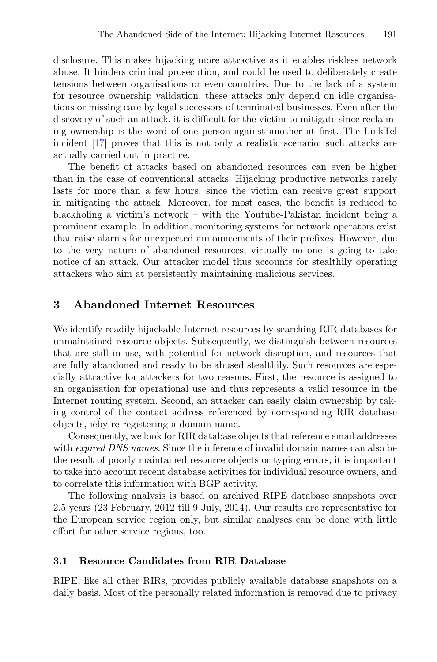disclosure. This makes hijacking more attractive as it enables riskless network abuse. It hinders criminal prosecution, and could be used to deliberately create tensions between organisations or even countries. Due to the lack of a system for resource ownership validation, these attacks only depend on idle organisations or missing care by legal successors of terminated businesses. Even after the discovery of such an attack, it is difficult for the victim to mitigate since reclaiming ownership is the word of one person against another at first. The LinkTel incident [\[17](#page-12-2)] proves that this is not only a realistic scenario: such attacks are actually carried out in practice.

The benefit of attacks based on abandoned resources can even be higher than in the case of conventional attacks. Hijacking productive networks rarely lasts for more than a few hours, since the victim can receive great support in mitigating the attack. Moreover, for most cases, the benefit is reduced to blackholing a victim's network – with the Youtube-Pakistan incident being a prominent example. In addition, monitoring systems for network operators exist that raise alarms for unexpected announcements of their prefixes. However, due to the very nature of abandoned resources, virtually no one is going to take notice of an attack. Our attacker model thus accounts for stealthily operating attackers who aim at persistently maintaining malicious services.

### <span id="page-3-0"></span>**3 Abandoned Internet Resources**

We identify readily hijackable Internet resources by searching RIR databases for unmaintained resource objects. Subsequently, we distinguish between resources that are still in use, with potential for network disruption, and resources that are fully abandoned and ready to be abused stealthily. Such resources are especially attractive for attackers for two reasons. First, the resource is assigned to an organisation for operational use and thus represents a valid resource in the Internet routing system. Second, an attacker can easily claim ownership by taking control of the contact address referenced by corresponding RIR database objects, iéby re-registering a domain name.

Consequently, we look for RIR database objects that reference email addresses with *expired DNS names*. Since the inference of invalid domain names can also be the result of poorly maintained resource objects or typing errors, it is important to take into account recent database activities for individual resource owners, and to correlate this information with BGP activity.

The following analysis is based on archived RIPE database snapshots over 2.5 years (23 February, 2012 till 9 July, 2014). Our results are representative for the European service region only, but similar analyses can be done with little effort for other service regions, too.

#### **3.1 Resource Candidates from RIR Database**

RIPE, like all other RIRs, provides publicly available database snapshots on a daily basis. Most of the personally related information is removed due to privacy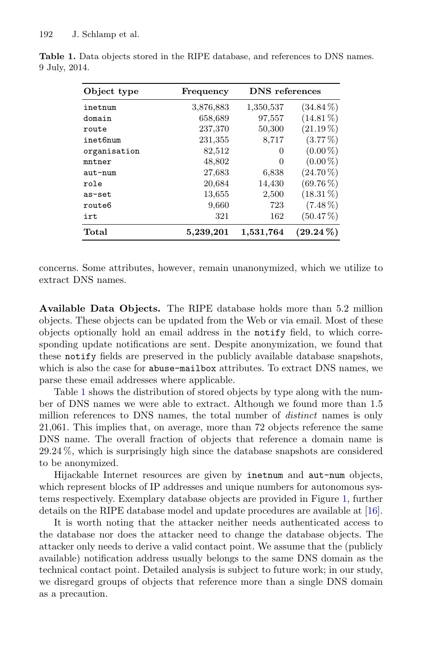| Object type  | Frequency | <b>DNS</b> references |             |
|--------------|-----------|-----------------------|-------------|
| inetnum      | 3,876,883 | 1,350,537             | $(34.84\%)$ |
| domain       | 658,689   | 97,557                | $(14.81\%)$ |
| route        | 237,370   | 50,300                | $(21.19\%)$ |
| inet6num     | 231,355   | 8,717                 | $(3.77\%)$  |
| organisation | 82,512    | $\Omega$              | $(0.00\%)$  |
| mntner       | 48,802    | $\theta$              | $(0.00\%)$  |
| $aut-num$    | 27,683    | 6,838                 | $(24.70\%)$ |
| role         | 20,684    | 14,430                | $(69.76\%)$ |
| as-set       | 13,655    | 2,500                 | $(18.31\%)$ |
| route6       | 9,660     | 723                   | $(7.48\%)$  |
| irt.         | 321       | 162                   | $(50.47\%)$ |
| Total        | 5,239,201 | 1,531,764             | $(29.24\%)$ |

<span id="page-4-0"></span>**Table 1.** Data objects stored in the RIPE database, and references to DNS names. 9 July, 2014.

concerns. Some attributes, however, remain unanonymized, which we utilize to extract DNS names.

**Available Data Objects.** The RIPE database holds more than 5.2 million objects. These objects can be updated from the Web or via email. Most of these objects optionally hold an email address in the notify field, to which corresponding update notifications are sent. Despite anonymization, we found that these notify fields are preserved in the publicly available database snapshots, which is also the case for abuse-mailbox attributes. To extract DNS names, we parse these email addresses where applicable.

Table [1](#page-4-0) shows the distribution of stored objects by type along with the number of DNS names we were able to extract. Although we found more than 1.5 million references to DNS names, the total number of *distinct* names is only 21,061. This implies that, on average, more than 72 objects reference the same DNS name. The overall fraction of objects that reference a domain name is 29.24 %, which is surprisingly high since the database snapshots are considered to be anonymized.

Hijackable Internet resources are given by inetnum and aut-num objects, which represent blocks of IP addresses and unique numbers for autonomous systems respectively. Exemplary database objects are provided in Figure [1,](#page-5-0) further details on the RIPE database model and update procedures are available at [\[16\]](#page-12-3).

It is worth noting that the attacker neither needs authenticated access to the database nor does the attacker need to change the database objects. The attacker only needs to derive a valid contact point. We assume that the (publicly available) notification address usually belongs to the same DNS domain as the technical contact point. Detailed analysis is subject to future work; in our study, we disregard groups of objects that reference more than a single DNS domain as a precaution.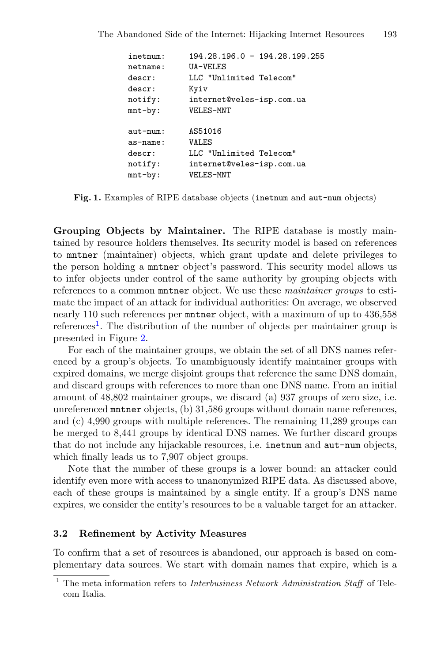| inetnum:<br>netname: | $194.28.196.0 - 194.28.199.255$<br><b>UA-VELES</b> |
|----------------------|----------------------------------------------------|
| descr:               | LLC "Unlimited Telecom"                            |
| descr:               | Kyiv                                               |
| notify:              | internet@veles-isp.com.ua                          |
| $mnt-by:$            | <b>VELES-MNT</b>                                   |
|                      |                                                    |
| $aut-num:$           | AS51016                                            |
| as-name:             | <b>VALES</b>                                       |
| descr:               | LLC "Unlimited Telecom"                            |
| notify:              | internet@veles-isp.com.ua                          |
| $mnt-by:$            | <b>VELES-MNT</b>                                   |
|                      |                                                    |

**Fig. 1.** Examples of RIPE database objects (inetnum and aut-num objects)

<span id="page-5-2"></span><span id="page-5-0"></span>**Grouping Objects by Maintainer.** The RIPE database is mostly maintained by resource holders themselves. Its security model is based on references to mntner (maintainer) objects, which grant update and delete privileges to the person holding a mntner object's password. This security model allows us to infer objects under control of the same authority by grouping objects with references to a common mntner object. We use these *maintainer groups* to estimate the impact of an attack for individual authorities: On average, we observed nearly 110 such references per mntner object, with a maximum of up to 436,558 references<sup>[1](#page-5-1)</sup>. The distribution of the number of objects per maintainer group is presented in Figure [2.](#page-6-0)

For each of the maintainer groups, we obtain the set of all DNS names referenced by a group's objects. To unambiguously identify maintainer groups with expired domains, we merge disjoint groups that reference the same DNS domain, and discard groups with references to more than one DNS name. From an initial amount of 48,802 maintainer groups, we discard (a) 937 groups of zero size, i.e. unreferenced mntner objects, (b) 31,586 groups without domain name references, and (c) 4,990 groups with multiple references. The remaining 11,289 groups can be merged to 8,441 groups by identical DNS names. We further discard groups that do not include any hijackable resources, i.e. inetnum and aut-num objects, which finally leads us to 7,907 object groups.

Note that the number of these groups is a lower bound: an attacker could identify even more with access to unanonymized RIPE data. As discussed above, each of these groups is maintained by a single entity. If a group's DNS name expires, we consider the entity's resources to be a valuable target for an attacker.

#### **3.2 Refinement by Activity Measures**

To confirm that a set of resources is abandoned, our approach is based on complementary data sources. We start with domain names that expire, which is a

<span id="page-5-1"></span> $1$  The meta information refers to Interbusiness Network Administration Staff of Telecom Italia.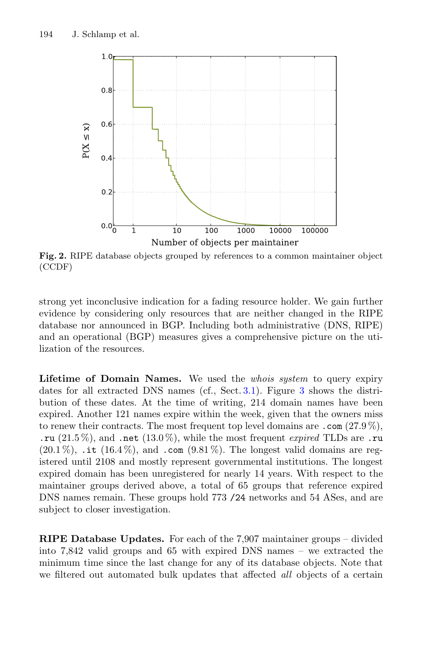

<span id="page-6-0"></span>**Fig. 2.** RIPE database objects grouped by references to a common maintainer object (CCDF)

strong yet inconclusive indication for a fading resource holder. We gain further evidence by considering only resources that are neither changed in the RIPE database nor announced in BGP. Including both administrative (DNS, RIPE) and an operational (BGP) measures gives a comprehensive picture on the utilization of the resources.

**Lifetime of Domain Names.** We used the *whois system* to query expiry dates for all extracted DNS names (cf., Sect. [3.1\)](#page-5-2). Figure [3](#page-7-0) shows the distribution of these dates. At the time of writing, 214 domain names have been expired. Another 121 names expire within the week, given that the owners miss to renew their contracts. The most frequent top level domains are .com  $(27.9\%)$ , .ru (21.5 %), and .net (13.0 %), while the most frequent *expired* TLDs are .ru  $(20.1\%)$ , .it  $(16.4\%)$ , and .com  $(9.81\%)$ . The longest valid domains are registered until 2108 and mostly represent governmental institutions. The longest expired domain has been unregistered for nearly 14 years. With respect to the maintainer groups derived above, a total of 65 groups that reference expired DNS names remain. These groups hold 773 /24 networks and 54 ASes, and are subject to closer investigation.

**RIPE Database Updates.** For each of the 7,907 maintainer groups – divided into 7,842 valid groups and 65 with expired DNS names – we extracted the minimum time since the last change for any of its database objects. Note that we filtered out automated bulk updates that affected *all* objects of a certain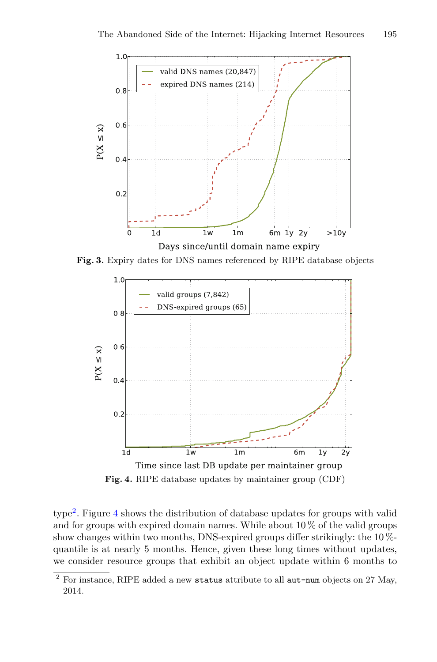

**Fig. 3.** Expiry dates for DNS names referenced by RIPE database objects

<span id="page-7-0"></span>

<span id="page-7-2"></span>**Fig. 4.** RIPE database updates by maintainer group (CDF)

type[2](#page-7-1). Figure [4](#page-7-2) shows the distribution of database updates for groups with valid and for groups with expired domain names. While about 10 % of the valid groups show changes within two months, DNS-expired groups differ strikingly: the 10 % quantile is at nearly 5 months. Hence, given these long times without updates, we consider resource groups that exhibit an object update within 6 months to

<span id="page-7-1"></span><sup>2</sup> For instance, RIPE added a new status attribute to all aut-num objects on 27 May, 2014.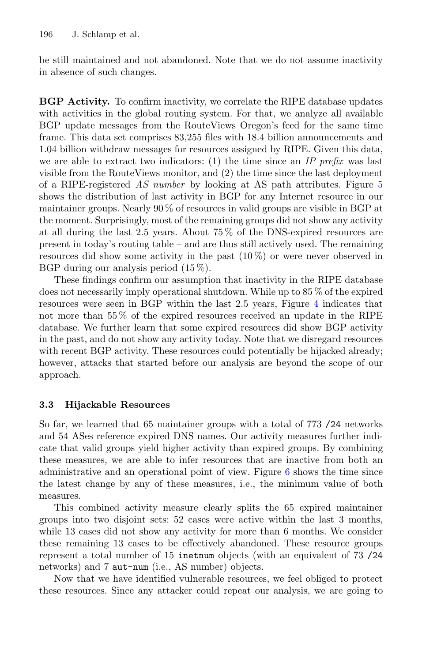be still maintained and not abandoned. Note that we do not assume inactivity in absence of such changes.

**BGP Activity.** To confirm inactivity, we correlate the RIPE database updates with activities in the global routing system. For that, we analyze all available BGP update messages from the RouteViews Oregon's feed for the same time frame. This data set comprises 83,255 files with 18.4 billion announcements and 1.04 billion withdraw messages for resources assigned by RIPE. Given this data, we are able to extract two indicators: (1) the time since an *IP prefix* was last visible from the RouteViews monitor, and (2) the time since the last deployment of a RIPE-registered *AS number* by looking at AS path attributes. Figure [5](#page-9-1) shows the distribution of last activity in BGP for any Internet resource in our maintainer groups. Nearly 90 % of resources in valid groups are visible in BGP at the moment. Surprisingly, most of the remaining groups did not show any activity at all during the last 2.5 years. About 75 % of the DNS-expired resources are present in today's routing table – and are thus still actively used. The remaining resources did show some activity in the past  $(10\%)$  or were never observed in BGP during our analysis period (15 %).

These findings confirm our assumption that inactivity in the RIPE database does not necessarily imply operational shutdown. While up to 85 % of the expired resources were seen in BGP within the last 2.5 years, Figure [4](#page-7-2) indicates that not more than 55 % of the expired resources received an update in the RIPE database. We further learn that some expired resources did show BGP activity in the past, and do not show any activity today. Note that we disregard resources with recent BGP activity. These resources could potentially be hijacked already; however, attacks that started before our analysis are beyond the scope of our approach.

### **3.3 Hijackable Resources**

So far, we learned that 65 maintainer groups with a total of 773 /24 networks and 54 ASes reference expired DNS names. Our activity measures further indicate that valid groups yield higher activity than expired groups. By combining these measures, we are able to infer resources that are inactive from both an administrative and an operational point of view. Figure [6](#page-9-2) shows the time since the latest change by any of these measures, i.e., the minimum value of both measures.

This combined activity measure clearly splits the 65 expired maintainer groups into two disjoint sets: 52 cases were active within the last 3 months, while 13 cases did not show any activity for more than 6 months. We consider these remaining 13 cases to be effectively abandoned. These resource groups represent a total number of 15 inetnum objects (with an equivalent of 73 /24 networks) and 7 aut-num (i.e., AS number) objects.

Now that we have identified vulnerable resources, we feel obliged to protect these resources. Since any attacker could repeat our analysis, we are going to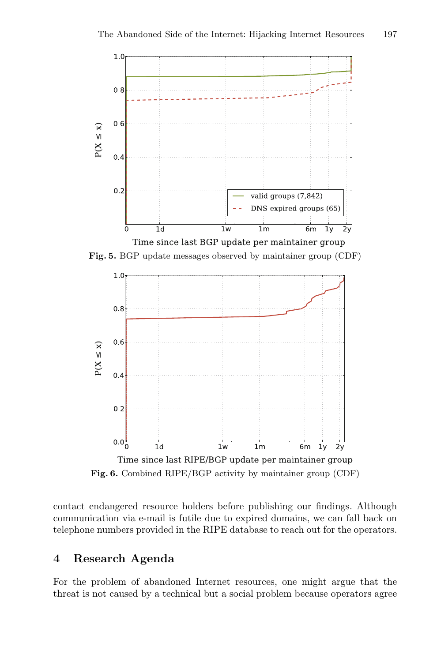

<span id="page-9-1"></span>**Fig. 5.** BGP update messages observed by maintainer group (CDF)



<span id="page-9-2"></span>contact endangered resource holders before publishing our findings. Although

communication via e-mail is futile due to expired domains, we can fall back on telephone numbers provided in the RIPE database to reach out for the operators.

### <span id="page-9-0"></span>**4 Research Agenda**

For the problem of abandoned Internet resources, one might argue that the threat is not caused by a technical but a social problem because operators agree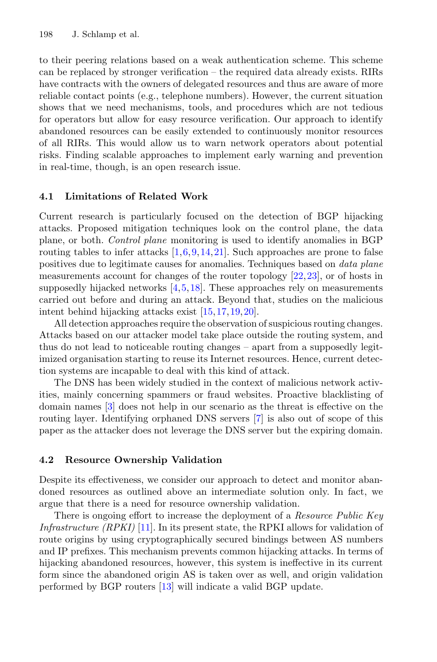to their peering relations based on a weak authentication scheme. This scheme can be replaced by stronger verification – the required data already exists. RIRs have contracts with the owners of delegated resources and thus are aware of more reliable contact points (e.g., telephone numbers). However, the current situation shows that we need mechanisms, tools, and procedures which are not tedious for operators but allow for easy resource verification. Our approach to identify abandoned resources can be easily extended to continuously monitor resources of all RIRs. This would allow us to warn network operators about potential risks. Finding scalable approaches to implement early warning and prevention in real-time, though, is an open research issue.

#### **4.1 Limitations of Related Work**

Current research is particularly focused on the detection of BGP hijacking attacks. Proposed mitigation techniques look on the control plane, the data plane, or both. *Control plane* monitoring is used to identify anomalies in BGP routing tables to infer attacks  $[1,6,9,14,21]$  $[1,6,9,14,21]$  $[1,6,9,14,21]$  $[1,6,9,14,21]$  $[1,6,9,14,21]$  $[1,6,9,14,21]$  $[1,6,9,14,21]$ . Such approaches are prone to false positives due to legitimate causes for anomalies. Techniques based on *data plane* measurements account for changes of the router topology [\[22](#page-13-1),[23\]](#page-13-2), or of hosts in supposedly hijacked networks  $[4,5,18]$  $[4,5,18]$  $[4,5,18]$  $[4,5,18]$ . These approaches rely on measurements carried out before and during an attack. Beyond that, studies on the malicious intent behind hijacking attacks exist [\[15](#page-12-10),[17,](#page-12-2)[19,](#page-13-4)[20](#page-13-5)].

All detection approaches require the observation of suspicious routing changes. Attacks based on our attacker model take place outside the routing system, and thus do not lead to noticeable routing changes – apart from a supposedly legitimized organisation starting to reuse its Internet resources. Hence, current detection systems are incapable to deal with this kind of attack.

The DNS has been widely studied in the context of malicious network activities, mainly concerning spammers or fraud websites. Proactive blacklisting of domain names [\[3](#page-12-11)] does not help in our scenario as the threat is effective on the routing layer. Identifying orphaned DNS servers [\[7\]](#page-12-12) is also out of scope of this paper as the attacker does not leverage the DNS server but the expiring domain.

#### **4.2 Resource Ownership Validation**

Despite its effectiveness, we consider our approach to detect and monitor abandoned resources as outlined above an intermediate solution only. In fact, we argue that there is a need for resource ownership validation.

There is ongoing effort to increase the deployment of a *Resource Public Key Infrastructure (RPKI)* [\[11](#page-12-1)]. In its present state, the RPKI allows for validation of route origins by using cryptographically secured bindings between AS numbers and IP prefixes. This mechanism prevents common hijacking attacks. In terms of hijacking abandoned resources, however, this system is ineffective in its current form since the abandoned origin AS is taken over as well, and origin validation performed by BGP routers [\[13](#page-12-13)] will indicate a valid BGP update.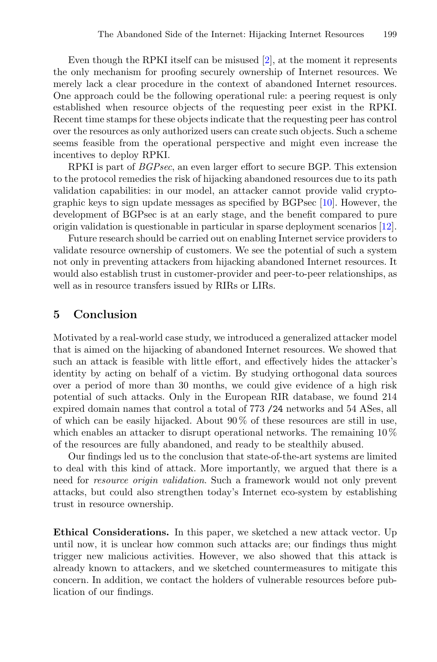Even though the RPKI itself can be misused [\[2](#page-12-14)], at the moment it represents the only mechanism for proofing securely ownership of Internet resources. We merely lack a clear procedure in the context of abandoned Internet resources. One approach could be the following operational rule: a peering request is only established when resource objects of the requesting peer exist in the RPKI. Recent time stamps for these objects indicate that the requesting peer has control over the resources as only authorized users can create such objects. Such a scheme seems feasible from the operational perspective and might even increase the incentives to deploy RPKI.

RPKI is part of *BGPsec*, an even larger effort to secure BGP. This extension to the protocol remedies the risk of hijacking abandoned resources due to its path validation capabilities: in our model, an attacker cannot provide valid cryptographic keys to sign update messages as specified by BGPsec  $[10]$  $[10]$ . However, the development of BGPsec is at an early stage, and the benefit compared to pure origin validation is questionable in particular in sparse deployment scenarios [\[12\]](#page-12-16).

Future research should be carried out on enabling Internet service providers to validate resource ownership of customers. We see the potential of such a system not only in preventing attackers from hijacking abandoned Internet resources. It would also establish trust in customer-provider and peer-to-peer relationships, as well as in resource transfers issued by RIRs or LIRs.

### <span id="page-11-0"></span>**5 Conclusion**

Motivated by a real-world case study, we introduced a generalized attacker model that is aimed on the hijacking of abandoned Internet resources. We showed that such an attack is feasible with little effort, and effectively hides the attacker's identity by acting on behalf of a victim. By studying orthogonal data sources over a period of more than 30 months, we could give evidence of a high risk potential of such attacks. Only in the European RIR database, we found 214 expired domain names that control a total of 773 /24 networks and 54 ASes, all of which can be easily hijacked. About  $90\%$  of these resources are still in use, which enables an attacker to disrupt operational networks. The remaining 10  $\%$ of the resources are fully abandoned, and ready to be stealthily abused.

Our findings led us to the conclusion that state-of-the-art systems are limited to deal with this kind of attack. More importantly, we argued that there is a need for *resource origin validation*. Such a framework would not only prevent attacks, but could also strengthen today's Internet eco-system by establishing trust in resource ownership.

**Ethical Considerations.** In this paper, we sketched a new attack vector. Up until now, it is unclear how common such attacks are; our findings thus might trigger new malicious activities. However, we also showed that this attack is already known to attackers, and we sketched countermeasures to mitigate this concern. In addition, we contact the holders of vulnerable resources before publication of our findings.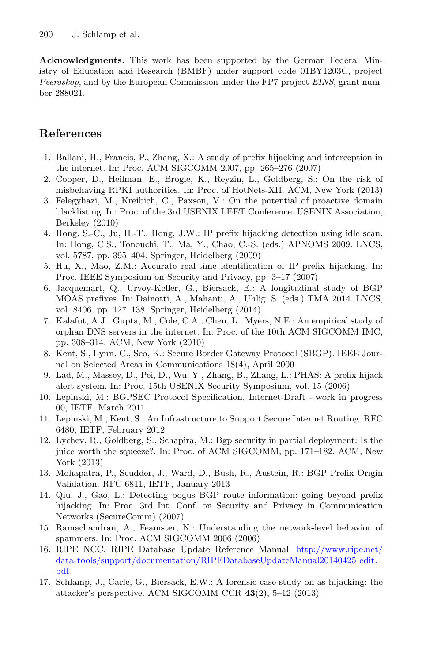**Acknowledgments.** This work has been supported by the German Federal Ministry of Education and Research (BMBF) under support code 01BY1203C, project Peeroskop, and by the European Commission under the FP7 project EINS, grant number 288021.

## <span id="page-12-4"></span>**References**

- 1. Ballani, H., Francis, P., Zhang, X.: A study of prefix hijacking and interception in the internet. In: Proc. ACM SIGCOMM 2007, pp. 265–276 (2007)
- <span id="page-12-14"></span>2. Cooper, D., Heilman, E., Brogle, K., Reyzin, L., Goldberg, S.: On the risk of misbehaving RPKI authorities. In: Proc. of HotNets-XII. ACM, New York (2013)
- <span id="page-12-11"></span>3. Felegyhazi, M., Kreibich, C., Paxson, V.: On the potential of proactive domain blacklisting. In: Proc. of the 3rd USENIX LEET Conference. USENIX Association, Berkeley (2010)
- <span id="page-12-8"></span>4. Hong, S.-C., Ju, H.-T., Hong, J.W.: IP prefix hijacking detection using idle scan. In: Hong, C.S., Tonouchi, T., Ma, Y., Chao, C.-S. (eds.) APNOMS 2009. LNCS, vol. 5787, pp. 395–404. Springer, Heidelberg (2009)
- <span id="page-12-9"></span>5. Hu, X., Mao, Z.M.: Accurate real-time identification of IP prefix hijacking. In: Proc. IEEE Symposium on Security and Privacy, pp. 3–17 (2007)
- <span id="page-12-5"></span>6. Jacquemart, Q., Urvoy-Keller, G., Biersack, E.: A longitudinal study of BGP MOAS prefixes. In: Dainotti, A., Mahanti, A., Uhlig, S. (eds.) TMA 2014. LNCS, vol. 8406, pp. 127–138. Springer, Heidelberg (2014)
- <span id="page-12-12"></span>7. Kalafut, A.J., Gupta, M., Cole, C.A., Chen, L., Myers, N.E.: An empirical study of orphan DNS servers in the internet. In: Proc. of the 10th ACM SIGCOMM IMC, pp. 308–314. ACM, New York (2010)
- <span id="page-12-0"></span>8. Kent, S., Lynn, C., Seo, K.: Secure Border Gateway Protocol (SBGP). IEEE Journal on Selected Areas in Communications 18(4), April 2000
- <span id="page-12-6"></span>9. Lad, M., Massey, D., Pei, D., Wu, Y., Zhang, B., Zhang, L.: PHAS: A prefix hijack alert system. In: Proc. 15th USENIX Security Symposium, vol. 15 (2006)
- <span id="page-12-15"></span>10. Lepinski, M.: BGPSEC Protocol Specification. Internet-Draft - work in progress 00, IETF, March 2011
- <span id="page-12-1"></span>11. Lepinski, M., Kent, S.: An Infrastructure to Support Secure Internet Routing. RFC 6480, IETF, February 2012
- <span id="page-12-16"></span>12. Lychev, R., Goldberg, S., Schapira, M.: Bgp security in partial deployment: Is the juice worth the squeeze?. In: Proc. of ACM SIGCOMM, pp. 171–182. ACM, New York (2013)
- <span id="page-12-13"></span>13. Mohapatra, P., Scudder, J., Ward, D., Bush, R., Austein, R.: BGP Prefix Origin Validation. RFC 6811, IETF, January 2013
- <span id="page-12-7"></span>14. Qiu, J., Gao, L.: Detecting bogus BGP route information: going beyond prefix hijacking. In: Proc. 3rd Int. Conf. on Security and Privacy in Communication Networks (SecureComm) (2007)
- <span id="page-12-10"></span>15. Ramachandran, A., Feamster, N.: Understanding the network-level behavior of spammers. In: Proc. ACM SIGCOMM 2006 (2006)
- <span id="page-12-3"></span>16. RIPE NCC. RIPE Database Update Reference Manual. [http://www.ripe.net/](http://www.ripe.net/data-tools/support/documentation/RIPEDatabaseUpdateManual20140425_edit.pdf) [data-tools/support/documentation/RIPEDatabaseUpdateManual20140425](http://www.ripe.net/data-tools/support/documentation/RIPEDatabaseUpdateManual20140425_edit.pdf) edit. [pdf](http://www.ripe.net/data-tools/support/documentation/RIPEDatabaseUpdateManual20140425_edit.pdf)
- <span id="page-12-2"></span>17. Schlamp, J., Carle, G., Biersack, E.W.: A forensic case study on as hijacking: the attacker's perspective. ACM SIGCOMM CCR **43**(2), 5–12 (2013)